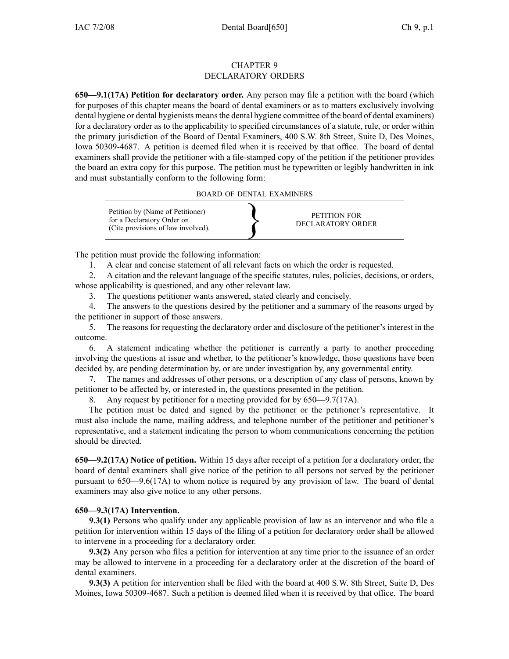#### CHAPTER 9 DECLARATORY ORDERS

**650—9.1(17A) Petition for declaratory order.** Any person may file <sup>a</sup> petition with the board (which for purposes of this chapter means the board of dental examiners or as to matters exclusively involving dental hygiene or dental hygienists meansthe dental hygiene committee of the board of dental examiners) for <sup>a</sup> declaratory order as to the applicability to specified circumstances of <sup>a</sup> statute, rule, or order within the primary jurisdiction of the Board of Dental Examiners, 400 S.W. 8th Street, Suite D, Des Moines, Iowa 50309-4687. A petition is deemed filed when it is received by that office. The board of dental examiners shall provide the petitioner with <sup>a</sup> file-stamped copy of the petition if the petitioner provides the board an extra copy for this purpose. The petition must be typewritten or legibly handwritten in ink and must substantially conform to the following form:

BOARD OF DENTAL EXAMINERS



The petition must provide the following information:

1. A clear and concise statement of all relevant facts on which the order is requested.

2. A citation and the relevant language of the specific statutes, rules, policies, decisions, or orders, whose applicability is questioned, and any other relevant law.

3. The questions petitioner wants answered, stated clearly and concisely.

4. The answers to the questions desired by the petitioner and <sup>a</sup> summary of the reasons urged by the petitioner in suppor<sup>t</sup> of those answers.

5. The reasons for requesting the declaratory order and disclosure of the petitioner's interest in the outcome.

6. A statement indicating whether the petitioner is currently <sup>a</sup> party to another proceeding involving the questions at issue and whether, to the petitioner's knowledge, those questions have been decided by, are pending determination by, or are under investigation by, any governmental entity.

7. The names and addresses of other persons, or <sup>a</sup> description of any class of persons, known by petitioner to be affected by, or interested in, the questions presented in the petition.

8. Any reques<sup>t</sup> by petitioner for <sup>a</sup> meeting provided for by 650—9.7(17A).

The petition must be dated and signed by the petitioner or the petitioner's representative. It must also include the name, mailing address, and telephone number of the petitioner and petitioner's representative, and <sup>a</sup> statement indicating the person to whom communications concerning the petition should be directed.

**650—9.2(17A) Notice of petition.** Within 15 days after receipt of <sup>a</sup> petition for <sup>a</sup> declaratory order, the board of dental examiners shall give notice of the petition to all persons not served by the petitioner pursuan<sup>t</sup> to 650—9.6(17A) to whom notice is required by any provision of law. The board of dental examiners may also give notice to any other persons.

# **650—9.3(17A) Intervention.**

**9.3(1)** Persons who qualify under any applicable provision of law as an intervenor and who file <sup>a</sup> petition for intervention within 15 days of the filing of <sup>a</sup> petition for declaratory order shall be allowed to intervene in <sup>a</sup> proceeding for <sup>a</sup> declaratory order.

**9.3(2)** Any person who files <sup>a</sup> petition for intervention at any time prior to the issuance of an order may be allowed to intervene in <sup>a</sup> proceeding for <sup>a</sup> declaratory order at the discretion of the board of dental examiners.

**9.3(3)** A petition for intervention shall be filed with the board at 400 S.W. 8th Street, Suite D, Des Moines, Iowa 50309-4687. Such <sup>a</sup> petition is deemed filed when it is received by that office. The board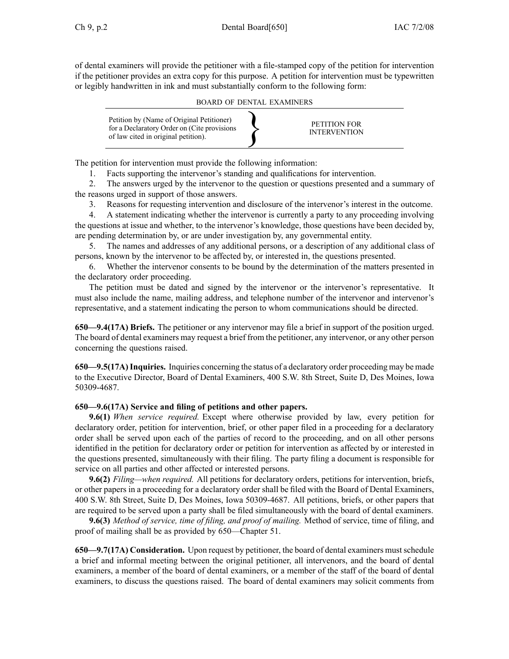of dental examiners will provide the petitioner with <sup>a</sup> file-stamped copy of the petition for intervention if the petitioner provides an extra copy for this purpose. A petition for intervention must be typewritten or legibly handwritten in ink and must substantially conform to the following form:

BOARD OF DENTAL EXAMINERS



The petition for intervention must provide the following information:

1. Facts supporting the intervenor's standing and qualifications for intervention.

2. The answers urged by the intervenor to the question or questions presented and <sup>a</sup> summary of the reasons urged in suppor<sup>t</sup> of those answers.

3. Reasons for requesting intervention and disclosure of the intervenor's interest in the outcome.

4. A statement indicating whether the intervenor is currently <sup>a</sup> party to any proceeding involving the questions at issue and whether, to the intervenor's knowledge, those questions have been decided by, are pending determination by, or are under investigation by, any governmental entity.

5. The names and addresses of any additional persons, or <sup>a</sup> description of any additional class of persons, known by the intervenor to be affected by, or interested in, the questions presented.

6. Whether the intervenor consents to be bound by the determination of the matters presented in the declaratory order proceeding.

The petition must be dated and signed by the intervenor or the intervenor's representative. It must also include the name, mailing address, and telephone number of the intervenor and intervenor's representative, and <sup>a</sup> statement indicating the person to whom communications should be directed.

**650—9.4(17A) Briefs.** The petitioner or any intervenor may file <sup>a</sup> brief in suppor<sup>t</sup> of the position urged. The board of dental examiners may reques<sup>t</sup> <sup>a</sup> brief from the petitioner, any intervenor, or any other person concerning the questions raised.

**650—9.5(17A)Inquiries.** Inquiries concerning the status of <sup>a</sup> declaratory order proceeding may be made to the Executive Director, Board of Dental Examiners, 400 S.W. 8th Street, Suite D, Des Moines, Iowa 50309-4687.

# **650—9.6(17A) Service and filing of petitions and other papers.**

**9.6(1)** *When service required.* Except where otherwise provided by law, every petition for declaratory order, petition for intervention, brief, or other paper filed in <sup>a</sup> proceeding for <sup>a</sup> declaratory order shall be served upon each of the parties of record to the proceeding, and on all other persons identified in the petition for declaratory order or petition for intervention as affected by or interested in the questions presented, simultaneously with their filing. The party filing <sup>a</sup> document is responsible for service on all parties and other affected or interested persons.

**9.6(2)** *Filing—when required.* All petitions for declaratory orders, petitions for intervention, briefs, or other papers in <sup>a</sup> proceeding for <sup>a</sup> declaratory order shall be filed with the Board of Dental Examiners, 400 S.W. 8th Street, Suite D, Des Moines, Iowa 50309-4687. All petitions, briefs, or other papers that are required to be served upon <sup>a</sup> party shall be filed simultaneously with the board of dental examiners.

**9.6(3)** *Method of service, time of filing, and proof of mailing.* Method of service, time of filing, and proof of mailing shall be as provided by 650—Chapter 51.

**650—9.7(17A) Consideration.** Upon reques<sup>t</sup> by petitioner, the board of dental examiners mustschedule <sup>a</sup> brief and informal meeting between the original petitioner, all intervenors, and the board of dental examiners, <sup>a</sup> member of the board of dental examiners, or <sup>a</sup> member of the staff of the board of dental examiners, to discuss the questions raised. The board of dental examiners may solicit comments from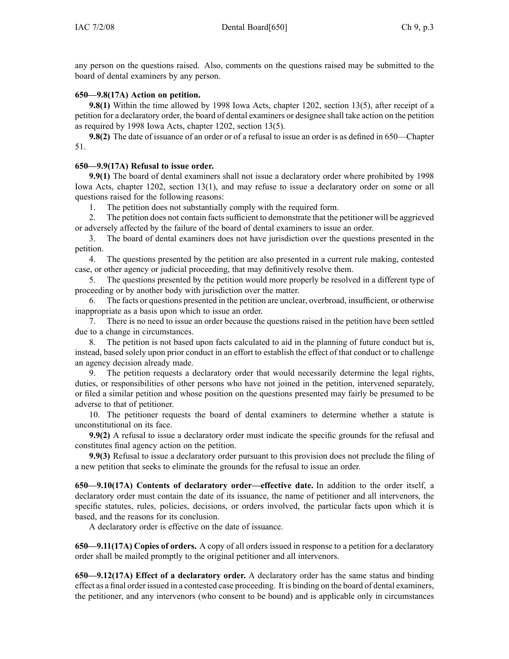any person on the questions raised. Also, comments on the questions raised may be submitted to the board of dental examiners by any person.

### **650—9.8(17A) Action on petition.**

**9.8(1)** Within the time allowed by 1998 Iowa Acts, chapter 1202, section 13(5), after receipt of a petition for <sup>a</sup> declaratory order, the board of dental examiners or designee shall take action on the petition as required by 1998 Iowa Acts, chapter 1202, section 13(5).

**9.8(2)** The date of issuance of an order or of a refusal to issue an order is as defined in 650—Chapter 51.

### **650—9.9(17A) Refusal to issue order.**

**9.9(1)** The board of dental examiners shall not issue <sup>a</sup> declaratory order where prohibited by 1998 Iowa Acts, chapter 1202, section 13(1), and may refuse to issue <sup>a</sup> declaratory order on some or all questions raised for the following reasons:

1. The petition does not substantially comply with the required form.

2. The petition does not contain factssufficient to demonstrate that the petitioner will be aggrieved or adversely affected by the failure of the board of dental examiners to issue an order.

3. The board of dental examiners does not have jurisdiction over the questions presented in the petition.

4. The questions presented by the petition are also presented in <sup>a</sup> current rule making, contested case, or other agency or judicial proceeding, that may definitively resolve them.

5. The questions presented by the petition would more properly be resolved in <sup>a</sup> different type of proceeding or by another body with jurisdiction over the matter.

6. The facts or questions presented in the petition are unclear, overbroad, insufficient, or otherwise inappropriate as <sup>a</sup> basis upon which to issue an order.

7. There is no need to issue an order because the questions raised in the petition have been settled due to <sup>a</sup> change in circumstances.

8. The petition is not based upon facts calculated to aid in the planning of future conduct but is, instead, based solely upon prior conduct in an effort to establish the effect of that conduct or to challenge an agency decision already made.

9. The petition requests <sup>a</sup> declaratory order that would necessarily determine the legal rights, duties, or responsibilities of other persons who have not joined in the petition, intervened separately, or filed <sup>a</sup> similar petition and whose position on the questions presented may fairly be presumed to be adverse to that of petitioner.

10. The petitioner requests the board of dental examiners to determine whether <sup>a</sup> statute is unconstitutional on its face.

**9.9(2)** A refusal to issue <sup>a</sup> declaratory order must indicate the specific grounds for the refusal and constitutes final agency action on the petition.

**9.9(3)** Refusal to issue <sup>a</sup> declaratory order pursuan<sup>t</sup> to this provision does not preclude the filing of <sup>a</sup> new petition that seeks to eliminate the grounds for the refusal to issue an order.

**650—9.10(17A) Contents of declaratory order—effective date.** In addition to the order itself, <sup>a</sup> declaratory order must contain the date of its issuance, the name of petitioner and all intervenors, the specific statutes, rules, policies, decisions, or orders involved, the particular facts upon which it is based, and the reasons for its conclusion.

A declaratory order is effective on the date of issuance.

**650—9.11(17A) Copies of orders.** A copy of all orders issued in response to <sup>a</sup> petition for <sup>a</sup> declaratory order shall be mailed promptly to the original petitioner and all intervenors.

**650—9.12(17A) Effect of <sup>a</sup> declaratory order.** A declaratory order has the same status and binding effect as <sup>a</sup> final order issued in <sup>a</sup> contested case proceeding. It is binding on the board of dental examiners, the petitioner, and any intervenors (who consent to be bound) and is applicable only in circumstances